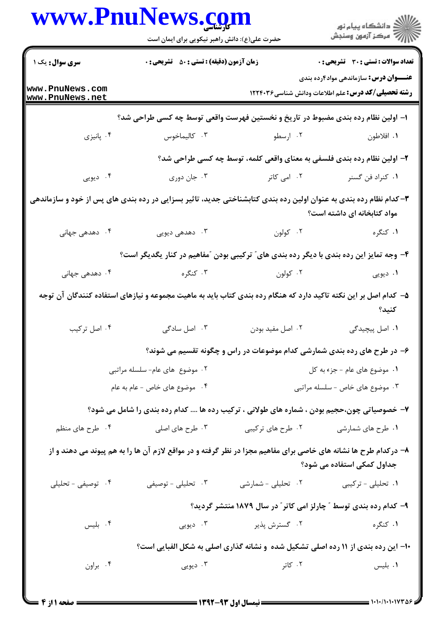|                                                                                                                   | حضرت علی(ع): دانش راهبر نیکویی برای ایمان است                                                                    |                                                                                   | ≦ دانشڪاه پيام نور<br>√ مرڪز آزمون وسنڊش                                                                  |
|-------------------------------------------------------------------------------------------------------------------|------------------------------------------------------------------------------------------------------------------|-----------------------------------------------------------------------------------|-----------------------------------------------------------------------------------------------------------|
| سری سوال: یک ۱                                                                                                    | زمان آزمون (دقیقه) : تستی : 50 ٪ تشریحی : 0                                                                      |                                                                                   | تعداد سوالات : تستي : 30 ٪ تشريحي : 0                                                                     |
| www.PnuNews.com<br>www.PnuNews.net                                                                                |                                                                                                                  |                                                                                   | <b>عنـــوان درس:</b> سازماندهی مواد۴رده بندی<br><b>رشته تحصیلی/کد درس:</b> علم اطلاعات ودانش شناسی1۲۲۴۰۳۶ |
|                                                                                                                   | ا– اولین نظام رده بندی مضبوط در تاریخ و نخستین فهرست واقعی توسط چه کسی طراحی شد؟                                 |                                                                                   |                                                                                                           |
| ۰۴ پانیزی                                                                                                         | ۰۳ کالیماخوس                                                                                                     | ۰۲ ارسطو                                                                          | ۰۱ افلاطون                                                                                                |
|                                                                                                                   |                                                                                                                  | ۲- اولین نظام رده بندی فلسفی به معنای واقعی کلمه، توسط چه کسی طراحی شد؟           |                                                                                                           |
| ۰۴ دیویی                                                                                                          | ۰۳ جان دوري                                                                                                      | ۰۲ امی کاتر                                                                       | ۰۱ كنراد فن گسنر                                                                                          |
| ۳- کدام نظام رده بندی به عنوان اولین رده بندی کتابشناختی جدید، تاثیر بسزایی در رده بندی های پس از خود و سازماندهی |                                                                                                                  |                                                                                   | مواد کتابخانه ای داشته است؟                                                                               |
| ۰۴ دهدهی جهانی                                                                                                    | ۰۳ دهدهی دیویی                                                                                                   | ۰۲ کولون                                                                          | ۰۱ کنگره                                                                                                  |
|                                                                                                                   | ۴- وجه تمایز این رده بندی با دیگر رده بندی های ؒ ترکیبی بودن  ؒمفاهیم در کنار یگدیگر است؟                        |                                                                                   |                                                                                                           |
| ۰۴ دهدهی جهانی                                                                                                    |                                                                                                                  | ۲. کولون مسلمان به کنگره                                                          | ۰۱ دیویی                                                                                                  |
|                                                                                                                   | ۵– کدام اصل بر این نکته تاکید دارد که هنگام رده بندی کتاب باید به ماهیت مجموعه و نیازهای استفاده کنندگان آن توجه |                                                                                   | كنيد؟                                                                                                     |
| ۰۴ اصل ترکیب                                                                                                      | ۰۳ اصل سادگی                                                                                                     | ۰۲ اصل مفید بودن                                                                  | ۰۱ اصل پیچیدگی                                                                                            |
|                                                                                                                   |                                                                                                                  | ۶– در طرح های رده بندی شمارشی کدام موضوعات در راس و چگونه تقسیم می شوند؟          |                                                                                                           |
|                                                                                                                   | ۰۲ موضوع های عام- سلسله مراتبی                                                                                   |                                                                                   | ٠١ موضوع هاى عام - جزء به كل                                                                              |
|                                                                                                                   | ۰۴ موضوع های خاص - عام به عام                                                                                    |                                                                                   | ۰۳ موضوع های خاص - سلسله مراتبی                                                                           |
|                                                                                                                   | ۷- خصوصیاتی چون،حجیم بودن ، شماره های طولانی ، ترکیب رده ها  کدام رده بندی را شامل می شود؟                       |                                                                                   |                                                                                                           |
| ۰۴ طرح های منظم                                                                                                   | ۰۳ طرح های اصلی                                                                                                  | ۰۲ طرح های ترکیبی                                                                 | ۰۱ طرح های شمارشی                                                                                         |
|                                                                                                                   | ۸– درکدام طرح ها نشانه های خاصی برای مفاهیم مجزا در نظر گرفته و در مواقع لازم آن ها را به هم پیوند می دهند و از  |                                                                                   | جداول کمکی استفاده می شود؟                                                                                |
| ۰۴ توصیفی - تحلیلی                                                                                                | ۰۳ تحلیلی - توصیفی                                                                                               | ۰۲ تحلیلی - شمارشی                                                                | ۰۱ تحلیلی - ترکیبی                                                                                        |
|                                                                                                                   |                                                                                                                  | ۹- کدام رده بندی توسط ″ چارلز امی کاتر″ در سال ۱۸۷۹ منتشر گردید؟                  |                                                                                                           |
| ۰۴ بلیس                                                                                                           | ۰۳ دیویی                                                                                                         | ۰۲ گسترش پذیر                                                                     | ۰۱ کنگره                                                                                                  |
|                                                                                                                   |                                                                                                                  | ۱۰- این رده بندی از ۱۱ رده اصلی تشکیل شده ًو نشانه گذاری اصلی به شکل الفبایی است؟ |                                                                                                           |
| ۰۴ براون                                                                                                          | ۰۳ دیویی                                                                                                         | ۰۲ کاتر                                                                           | ۰۱ بلیس                                                                                                   |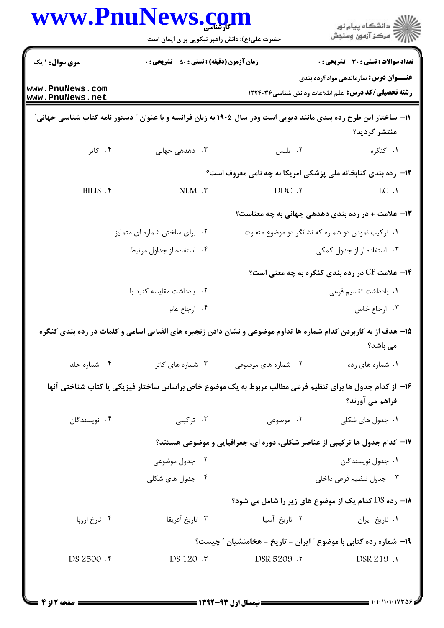|                                    | حضرت علی(ع): دانش راهبر نیکویی برای ایمان است      |                                                                                                                   | ر<br>دانشڪاه پيام نور)<br>سڪز آزمون وسنڊش                                                                  |
|------------------------------------|----------------------------------------------------|-------------------------------------------------------------------------------------------------------------------|------------------------------------------------------------------------------------------------------------|
| سری سوال : ۱ یک                    | <b>زمان آزمون (دقیقه) : تستی : 50 ٪ تشریحی : 0</b> |                                                                                                                   | <b>تعداد سوالات : تستي : 30 ٪ تشريحي : 0</b>                                                               |
| www.PnuNews.com<br>www.PnuNews.net |                                                    |                                                                                                                   | <b>عنــــوان درس:</b> سازماندهی مواد۴رده بندی<br><b>رشته تحصیلی/کد درس:</b> علم اطلاعات ودانش شناسی1۲۲۴۰۳۶ |
|                                    |                                                    | 11– ساختار این طرح رده بندی مانند دیویی است ودر سال ۱۹۰۵ به زبان فرانسه و با عنوان ″ دستور نامه کتاب شناسی جهانی″ | منتشر گرديد؟                                                                                               |
| ۰۴ کاتر                            | ۰۳ دهدهی جهانی                                     | ۰۲ بلیس                                                                                                           | ۰۱ کنگره                                                                                                   |
|                                    |                                                    | ۱۲- رده بندی کتابخانه ملی پزشکی امریکا به چه نامی معروف است؟                                                      |                                                                                                            |
| BILIS . ۴                          | $NLM$ $.7$                                         | DDC .Y                                                                                                            | LC.1                                                                                                       |
|                                    |                                                    | ۱۳- علامت + در رده بندی دهدهی جهانی به چه معناست؟                                                                 |                                                                                                            |
|                                    | ۰۲ برای ساختن شماره ای متمایز                      | ۰۱ ترکیب نمودن دو شماره که نشانگر دو موضوع متفاوت                                                                 |                                                                                                            |
|                                    | ۰۴ استفاده از جداول مرتبط                          |                                                                                                                   | ۰۳ استفاده از از جدول کمکی                                                                                 |
|                                    |                                                    |                                                                                                                   | <b>۱۴</b> - علامت CF در رده بندی کنگره به چه معنی است؟                                                     |
|                                    | ۰۲ يادداشت مقايسه كنيد با                          |                                                                                                                   | ٠١. يادداشت تقسيم فرعي                                                                                     |
|                                    | ۰۴ ارجاع عام                                       |                                                                                                                   | ۰۳ ارجاع خاص                                                                                               |
|                                    |                                                    | ۱۵– هدف از به کاربردن کدام شماره ها تداوم موضوعی و نشان دادن زنجیره های الفبایی اسامی و کلمات در رده بندی کنگره   | می باشد؟                                                                                                   |
| ۰۴ شماره جلد                       | ۰۳ شماره های کاتر                                  | ۰۲ شماره های موضوعی                                                                                               | ۰۱ شماره های رده                                                                                           |
|                                    |                                                    | ۱۶– از کدام جدول ها برای تنظیم فرعی مطالب مربوط به یک موضوع خاص براساس ساختار فیزیکی یا کتاب شناختی آنها          | فراهم می آورند؟                                                                                            |
| ۰۴ نویسندگان                       | ۰۳ ترکیبی                                          | ۰۲ موضوعی                                                                                                         | ۰۱ جدول های شکلی                                                                                           |
|                                    |                                                    | ۱۷– کدام جدول ها ترکیبی از عناصر شکلی، دوره ای، جغرافیایی و موضوعی هستند؟                                         |                                                                                                            |
|                                    | ۰۲ جدول موضوعی                                     |                                                                                                                   | ۰۱ جدول نویسندگان                                                                                          |
|                                    | ۰۴ جدول های شکلی                                   |                                                                                                                   | ۰۳ جدول تنظیم فرعی داخلی                                                                                   |
|                                    |                                                    | <b>۱۸- رده DS کدام یک از موضوع های زیر را شامل می شود؟</b>                                                        |                                                                                                            |
| ۰۴ تارخ اروپا                      | ۰۳ تاریخ آفریقا                                    | ۰۲ تاریخ آسیا                                                                                                     | ٠١. تاريخ ايران                                                                                            |
|                                    |                                                    | ۱۹- شماره رده کتابی با موضوع " ایران - تاریخ - هخامنشیان " چیست؟                                                  |                                                                                                            |
| DS 2500 . F                        | DS 120.7                                           | 7. DSR 5209                                                                                                       | DSR 219 .1                                                                                                 |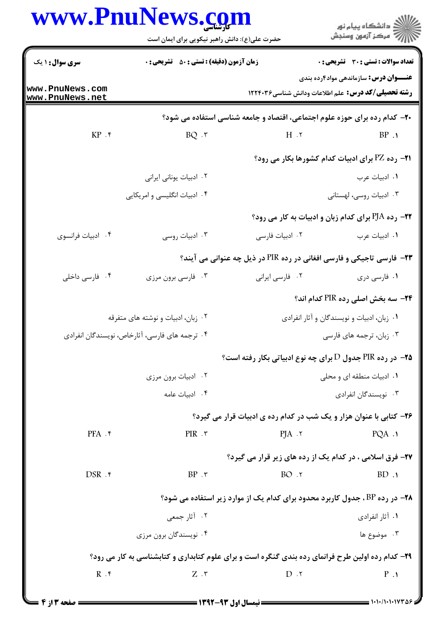|                                    | www.PnuNews.com<br>حضرت علی(ع): دانش راهبر نیکویی برای ایمان است |                                                                                                   | ڪ دانشڪاه پيام نور<br>ر∕ مرڪز آزمون وسنڊش              |
|------------------------------------|------------------------------------------------------------------|---------------------------------------------------------------------------------------------------|--------------------------------------------------------|
| <b>سری سوال : ۱ یک</b>             | <b>زمان آزمون (دقیقه) : تستی : 50 ٪ تشریحی : 0</b>               |                                                                                                   | تعداد سوالات : تستى : 30 ٪ تشريحي : 0                  |
| www.PnuNews.com<br>www.PnuNews.net |                                                                  | <b>رشته تحصیلی/کد درس:</b> علم اطلاعات ودانش شناسی۲۲۴۰۳۶ <b>۱۲۲۴۰۳</b> ۶                          | <b>عنــــوان درس:</b> سازماندهی مواد۴رده بندی          |
|                                    |                                                                  | ۲۰- کدام رده برای حوزه علوم اجتماعی، اقتصاد و جامعه شناسی استفاده می شود؟                         |                                                        |
| $KP.$ *                            | $BQ \cdot r$                                                     | 7. H                                                                                              | BP.1                                                   |
|                                    |                                                                  |                                                                                                   | <b>۲۱- رده PZ برای ادبیات کدام کشورها بکار می رود؟</b> |
|                                    | ۰۲ ادبیات یونانی ایرانی                                          |                                                                                                   | ۰۱ ادبیات عرب                                          |
|                                    | ۰۴ ادبیات انگلیسی و امریکایی                                     |                                                                                                   | ۰۳ ادبیات روسی، لهستانی                                |
|                                    |                                                                  | <b>۲۲- رده PJA برای کدام زبان و ادبیات به کار می رود؟</b>                                         |                                                        |
| ۰۴ ادبیات فرانسوی                  | ۰۳ ادبیات روسی                                                   | ۰۲ ادبیات فارسی                                                                                   | ٠١. ادبيات عرب                                         |
|                                    |                                                                  | <b>۲۳</b> - فارسی تاجیکی و فارسی افغانی در رده PIR در ذیل چه عنوانی می آیند؟                      |                                                        |
| ۰۴ فارسی داخلی                     | ۰۳ فارسی برون مرزی                                               | ٠٢ فارسي ايراني                                                                                   | ۰۱ فارسی دری                                           |
|                                    |                                                                  |                                                                                                   | <b>۲۴</b> - سه بخش اصلی رده PIR کدام اند؟              |
|                                    | ۰۲ زبان، ادبیات و نوشته های متفرقه                               |                                                                                                   | ۰۱ زبان، ادبیات و نویسندگان و آثار انفرادی             |
|                                    | ۰۴ ترجمه های فارسی، آثارخاص، نویسندگان انفرادی                   |                                                                                                   | ۰۳ زبان، ترجمه های فارسی                               |
|                                    |                                                                  | <b>۲۵-</b> در رده PIR جدول D برای چه نوع ادبیاتی بکار رفته است؟                                   |                                                        |
|                                    | ۰۲ ادبیات برون مرزی                                              |                                                                                                   | ۰۱ ادبیات منطقه ای و محلی                              |
|                                    | ۰۴ اديبات عامه                                                   |                                                                                                   | ۰۳ نویسندگان انفرادی                                   |
|                                    |                                                                  | ۲۶- کتابی با عنوان هزار و یک شب در کدام رده ی ادبیات قرار می گیرد؟                                |                                                        |
| $PFA$ .۴                           | $PIR$ $.7$                                                       | $PJA \cdot Y$                                                                                     | $PQA \cdot Y$                                          |
|                                    |                                                                  | <b>۲۷- فرق اسلامی ، در کدام یک از رده های زیر قرار می گیرد؟</b>                                   |                                                        |
| $DSR$ . ۴                          | $BP \cdot \tau$                                                  | BO.7                                                                                              | BD.1                                                   |
|                                    |                                                                  | <b>۲۸</b> - در رده BP، جدول کاربرد محدود برای کدام یک از موارد زیر استفاده می شود؟                |                                                        |
|                                    | ۰۲ آثار جمعی                                                     |                                                                                                   | ۰۱ آثار انفرادی                                        |
|                                    | ۰۴ نویسندگان برون مرزی                                           |                                                                                                   | ۰۳ موضوع ها                                            |
|                                    |                                                                  | ۲۹- کدام رده اولین طرح فرانمای رده بندی گنگره است و برای علوم کتابداری و کتابشناسی به کار می رود؟ |                                                        |
| R.                                 | $Z \cdot r$                                                      | $D \cdot Y$                                                                                       | $P \cdot \mathbf{1}$                                   |
|                                    |                                                                  |                                                                                                   |                                                        |